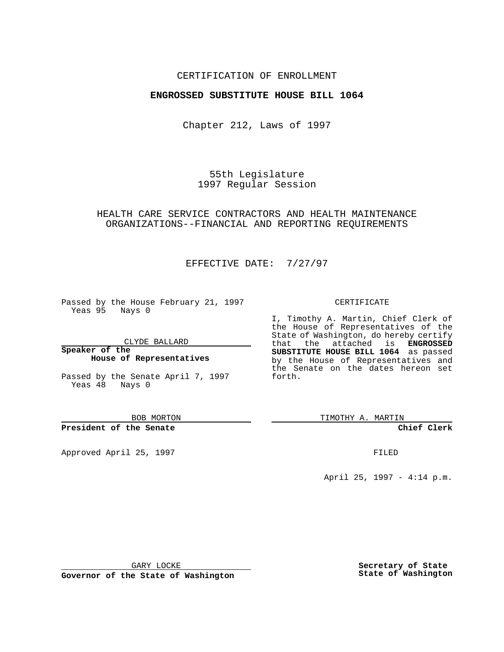### CERTIFICATION OF ENROLLMENT

### **ENGROSSED SUBSTITUTE HOUSE BILL 1064**

Chapter 212, Laws of 1997

55th Legislature 1997 Regular Session

## HEALTH CARE SERVICE CONTRACTORS AND HEALTH MAINTENANCE ORGANIZATIONS--FINANCIAL AND REPORTING REQUIREMENTS

# EFFECTIVE DATE: 7/27/97

Passed by the House February 21, 1997 Yeas 95 Nays 0

CLYDE BALLARD

**Speaker of the House of Representatives**

Passed by the Senate April 7, 1997 Yeas 48 Nays 0

BOB MORTON

#### **President of the Senate**

Approved April 25, 1997 **FILED** 

#### CERTIFICATE

I, Timothy A. Martin, Chief Clerk of the House of Representatives of the State of Washington, do hereby certify that the attached is **ENGROSSED SUBSTITUTE HOUSE BILL 1064** as passed by the House of Representatives and the Senate on the dates hereon set forth.

TIMOTHY A. MARTIN

**Chief Clerk**

April 25, 1997 - 4:14 p.m.

GARY LOCKE

**Governor of the State of Washington**

**Secretary of State State of Washington**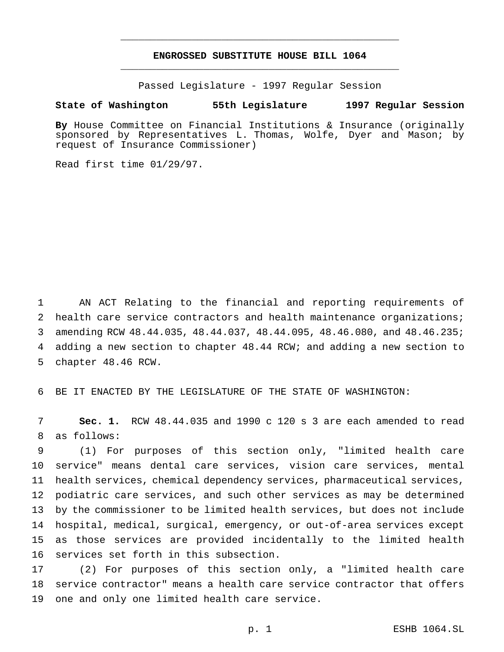## **ENGROSSED SUBSTITUTE HOUSE BILL 1064** \_\_\_\_\_\_\_\_\_\_\_\_\_\_\_\_\_\_\_\_\_\_\_\_\_\_\_\_\_\_\_\_\_\_\_\_\_\_\_\_\_\_\_\_\_\_\_

\_\_\_\_\_\_\_\_\_\_\_\_\_\_\_\_\_\_\_\_\_\_\_\_\_\_\_\_\_\_\_\_\_\_\_\_\_\_\_\_\_\_\_\_\_\_\_

Passed Legislature - 1997 Regular Session

#### **State of Washington 55th Legislature 1997 Regular Session**

**By** House Committee on Financial Institutions & Insurance (originally sponsored by Representatives L. Thomas, Wolfe, Dyer and Mason; by request of Insurance Commissioner)

Read first time 01/29/97.

 AN ACT Relating to the financial and reporting requirements of 2 health care service contractors and health maintenance organizations; amending RCW 48.44.035, 48.44.037, 48.44.095, 48.46.080, and 48.46.235; adding a new section to chapter 48.44 RCW; and adding a new section to chapter 48.46 RCW.

BE IT ENACTED BY THE LEGISLATURE OF THE STATE OF WASHINGTON:

 **Sec. 1.** RCW 48.44.035 and 1990 c 120 s 3 are each amended to read as follows:

 (1) For purposes of this section only, "limited health care service" means dental care services, vision care services, mental health services, chemical dependency services, pharmaceutical services, podiatric care services, and such other services as may be determined by the commissioner to be limited health services, but does not include hospital, medical, surgical, emergency, or out-of-area services except as those services are provided incidentally to the limited health services set forth in this subsection.

 (2) For purposes of this section only, a "limited health care service contractor" means a health care service contractor that offers one and only one limited health care service.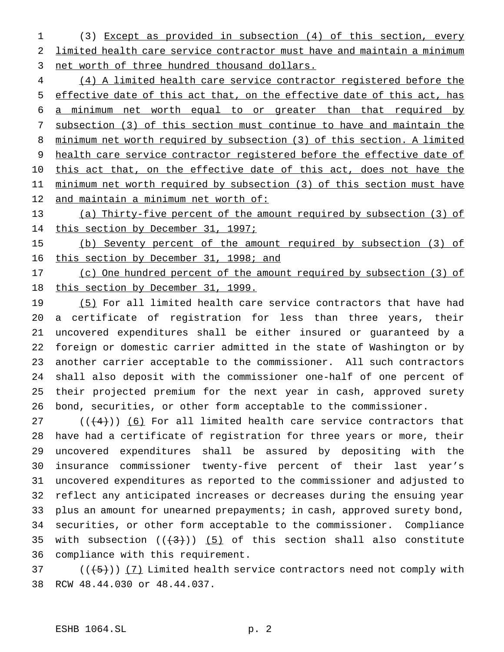(3) Except as provided in subsection (4) of this section, every limited health care service contractor must have and maintain a minimum net worth of three hundred thousand dollars.

 (4) A limited health care service contractor registered before the effective date of this act that, on the effective date of this act, has a minimum net worth equal to or greater than that required by subsection (3) of this section must continue to have and maintain the minimum net worth required by subsection (3) of this section. A limited health care service contractor registered before the effective date of 10 this act that, on the effective date of this act, does not have the minimum net worth required by subsection (3) of this section must have 12 and maintain a minimum net worth of:

 (a) Thirty-five percent of the amount required by subsection (3) of 14 this section by December 31, 1997;

 (b) Seventy percent of the amount required by subsection (3) of 16 this section by December 31, 1998; and

 (c) One hundred percent of the amount required by subsection (3) of this section by December 31, 1999.

19 (5) For all limited health care service contractors that have had a certificate of registration for less than three years, their uncovered expenditures shall be either insured or guaranteed by a foreign or domestic carrier admitted in the state of Washington or by another carrier acceptable to the commissioner. All such contractors shall also deposit with the commissioner one-half of one percent of their projected premium for the next year in cash, approved surety bond, securities, or other form acceptable to the commissioner.

27 ( $(\frac{4}{4})$ ) (6) For all limited health care service contractors that have had a certificate of registration for three years or more, their uncovered expenditures shall be assured by depositing with the insurance commissioner twenty-five percent of their last year's uncovered expenditures as reported to the commissioner and adjusted to reflect any anticipated increases or decreases during the ensuing year plus an amount for unearned prepayments; in cash, approved surety bond, securities, or other form acceptable to the commissioner. Compliance 35 with subsection  $((+3))$  (5) of this section shall also constitute compliance with this requirement.

37  $((+5))$   $(7)$  Limited health service contractors need not comply with RCW 48.44.030 or 48.44.037.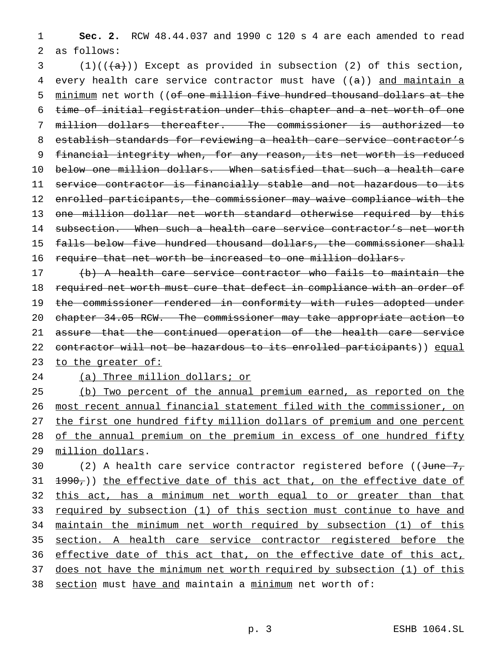1 **Sec. 2.** RCW 48.44.037 and 1990 c 120 s 4 are each amended to read 2 as follows:

3 (1)( $(\frac{1}{(4)})$ ) Except as provided in subsection (2) of this section, 4 every health care service contractor must have  $((a))$  and maintain a 5 minimum net worth ((of one million five hundred thousand dollars at the time of initial registration under this chapter and a net worth of one million dollars thereafter. The commissioner is authorized to establish standards for reviewing a health care service contractor's financial integrity when, for any reason, its net worth is reduced below one million dollars. When satisfied that such a health care service contractor is financially stable and not hazardous to its enrolled participants, the commissioner may waive compliance with the one million dollar net worth standard otherwise required by this 14 subsection. When such a health care service contractor's net worth 15 falls below five hundred thousand dollars, the commissioner shall require that net worth be increased to one million dollars.

17 (b) A health care service contractor who fails to maintain the 18 required net worth must cure that defect in compliance with an order of 19 the commissioner rendered in conformity with rules adopted under 20 chapter 34.05 RCW. The commissioner may take appropriate action to 21 assure that the continued operation of the health care service 22 contractor will not be hazardous to its enrolled participants)) equal 23 to the greater of:

24 (a) Three million dollars; or

 (b) Two percent of the annual premium earned, as reported on the most recent annual financial statement filed with the commissioner, on 27 the first one hundred fifty million dollars of premium and one percent of the annual premium on the premium in excess of one hundred fifty million dollars.

30 (2) A health care service contractor registered before (( $J$ une  $7$ ,  $31$   $1990,$ )) the effective date of this act that, on the effective date of 32 this act, has a minimum net worth equal to or greater than that 33 required by subsection (1) of this section must continue to have and 34 maintain the minimum net worth required by subsection (1) of this 35 section. A health care service contractor registered before the 36 effective date of this act that, on the effective date of this act, 37 does not have the minimum net worth required by subsection (1) of this 38 section must have and maintain a minimum net worth of: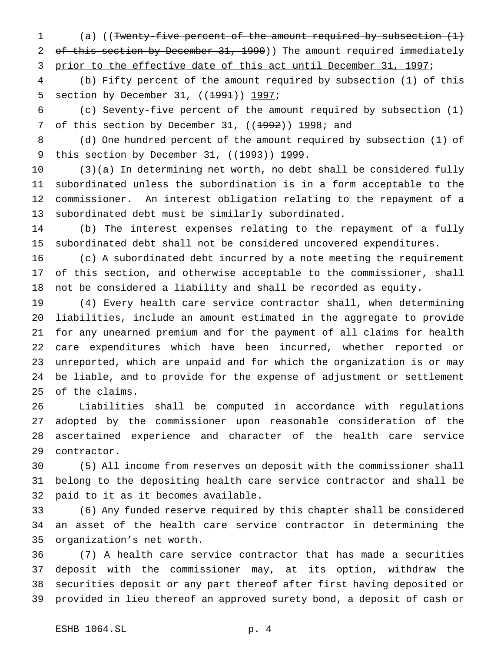(a) ((Twenty-five percent of the amount required by subsection (1) 2 of this section by December 31, 1990)) The amount required immediately 3 prior to the effective date of this act until December 31, 1997;

 (b) Fifty percent of the amount required by subsection (1) of this 5 section by December 31, ((<del>1991</del>)) 1997;

 (c) Seventy-five percent of the amount required by subsection (1) 7 of this section by December 31,  $((1992))$  1998; and

 (d) One hundred percent of the amount required by subsection (1) of 9 this section by December 31, ((1993)) 1999.

 (3)(a) In determining net worth, no debt shall be considered fully subordinated unless the subordination is in a form acceptable to the commissioner. An interest obligation relating to the repayment of a subordinated debt must be similarly subordinated.

 (b) The interest expenses relating to the repayment of a fully subordinated debt shall not be considered uncovered expenditures.

 (c) A subordinated debt incurred by a note meeting the requirement of this section, and otherwise acceptable to the commissioner, shall not be considered a liability and shall be recorded as equity.

 (4) Every health care service contractor shall, when determining liabilities, include an amount estimated in the aggregate to provide for any unearned premium and for the payment of all claims for health care expenditures which have been incurred, whether reported or unreported, which are unpaid and for which the organization is or may be liable, and to provide for the expense of adjustment or settlement of the claims.

 Liabilities shall be computed in accordance with regulations adopted by the commissioner upon reasonable consideration of the ascertained experience and character of the health care service contractor.

 (5) All income from reserves on deposit with the commissioner shall belong to the depositing health care service contractor and shall be paid to it as it becomes available.

 (6) Any funded reserve required by this chapter shall be considered an asset of the health care service contractor in determining the organization's net worth.

 (7) A health care service contractor that has made a securities deposit with the commissioner may, at its option, withdraw the securities deposit or any part thereof after first having deposited or provided in lieu thereof an approved surety bond, a deposit of cash or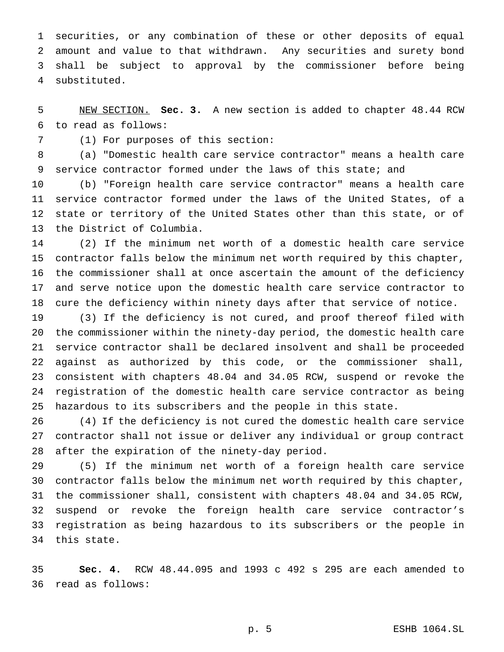securities, or any combination of these or other deposits of equal amount and value to that withdrawn. Any securities and surety bond shall be subject to approval by the commissioner before being substituted.

 NEW SECTION. **Sec. 3.** A new section is added to chapter 48.44 RCW to read as follows:

(1) For purposes of this section:

 (a) "Domestic health care service contractor" means a health care service contractor formed under the laws of this state; and

 (b) "Foreign health care service contractor" means a health care service contractor formed under the laws of the United States, of a state or territory of the United States other than this state, or of the District of Columbia.

 (2) If the minimum net worth of a domestic health care service contractor falls below the minimum net worth required by this chapter, the commissioner shall at once ascertain the amount of the deficiency and serve notice upon the domestic health care service contractor to cure the deficiency within ninety days after that service of notice.

 (3) If the deficiency is not cured, and proof thereof filed with the commissioner within the ninety-day period, the domestic health care service contractor shall be declared insolvent and shall be proceeded against as authorized by this code, or the commissioner shall, consistent with chapters 48.04 and 34.05 RCW, suspend or revoke the registration of the domestic health care service contractor as being hazardous to its subscribers and the people in this state.

 (4) If the deficiency is not cured the domestic health care service contractor shall not issue or deliver any individual or group contract after the expiration of the ninety-day period.

 (5) If the minimum net worth of a foreign health care service contractor falls below the minimum net worth required by this chapter, the commissioner shall, consistent with chapters 48.04 and 34.05 RCW, suspend or revoke the foreign health care service contractor's registration as being hazardous to its subscribers or the people in this state.

 **Sec. 4.** RCW 48.44.095 and 1993 c 492 s 295 are each amended to read as follows: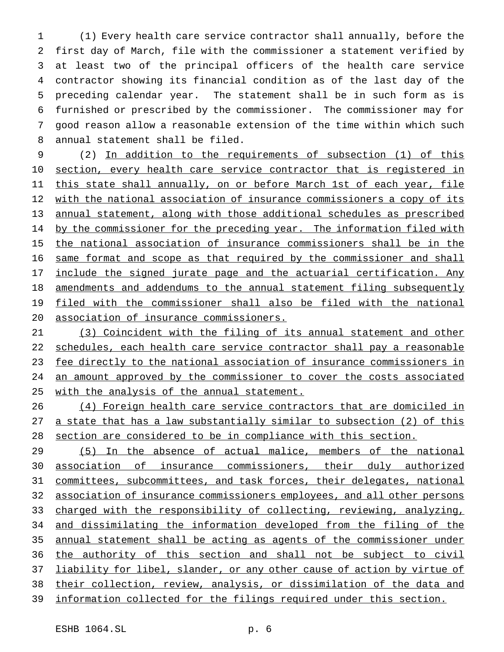(1) Every health care service contractor shall annually, before the first day of March, file with the commissioner a statement verified by at least two of the principal officers of the health care service contractor showing its financial condition as of the last day of the preceding calendar year. The statement shall be in such form as is furnished or prescribed by the commissioner. The commissioner may for good reason allow a reasonable extension of the time within which such annual statement shall be filed.

 (2) In addition to the requirements of subsection (1) of this 10 section, every health care service contractor that is registered in this state shall annually, on or before March 1st of each year, file 12 with the national association of insurance commissioners a copy of its annual statement, along with those additional schedules as prescribed 14 by the commissioner for the preceding year. The information filed with the national association of insurance commissioners shall be in the same format and scope as that required by the commissioner and shall include the signed jurate page and the actuarial certification. Any amendments and addendums to the annual statement filing subsequently filed with the commissioner shall also be filed with the national association of insurance commissioners.

 (3) Coincident with the filing of its annual statement and other 22 schedules, each health care service contractor shall pay a reasonable 23 fee directly to the national association of insurance commissioners in an amount approved by the commissioner to cover the costs associated with the analysis of the annual statement.

 (4) Foreign health care service contractors that are domiciled in 27 a state that has a law substantially similar to subsection (2) of this section are considered to be in compliance with this section.

 (5) In the absence of actual malice, members of the national association of insurance commissioners, their duly authorized committees, subcommittees, and task forces, their delegates, national association of insurance commissioners employees, and all other persons 33 charged with the responsibility of collecting, reviewing, analyzing, and dissimilating the information developed from the filing of the annual statement shall be acting as agents of the commissioner under the authority of this section and shall not be subject to civil 37 liability for libel, slander, or any other cause of action by virtue of their collection, review, analysis, or dissimilation of the data and information collected for the filings required under this section.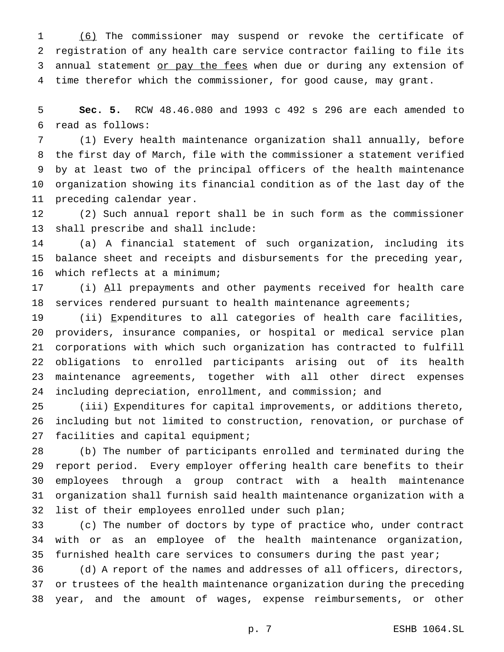(6) The commissioner may suspend or revoke the certificate of registration of any health care service contractor failing to file its 3 annual statement or pay the fees when due or during any extension of time therefor which the commissioner, for good cause, may grant.

 **Sec. 5.** RCW 48.46.080 and 1993 c 492 s 296 are each amended to read as follows:

 (1) Every health maintenance organization shall annually, before the first day of March, file with the commissioner a statement verified by at least two of the principal officers of the health maintenance organization showing its financial condition as of the last day of the preceding calendar year.

 (2) Such annual report shall be in such form as the commissioner shall prescribe and shall include:

 (a) A financial statement of such organization, including its balance sheet and receipts and disbursements for the preceding year, which reflects at a minimum;

17 (i) All prepayments and other payments received for health care services rendered pursuant to health maintenance agreements;

 (ii) Expenditures to all categories of health care facilities, providers, insurance companies, or hospital or medical service plan corporations with which such organization has contracted to fulfill obligations to enrolled participants arising out of its health maintenance agreements, together with all other direct expenses including depreciation, enrollment, and commission; and

 (iii) Expenditures for capital improvements, or additions thereto, including but not limited to construction, renovation, or purchase of 27 facilities and capital equipment;

 (b) The number of participants enrolled and terminated during the report period. Every employer offering health care benefits to their employees through a group contract with a health maintenance organization shall furnish said health maintenance organization with a list of their employees enrolled under such plan;

 (c) The number of doctors by type of practice who, under contract with or as an employee of the health maintenance organization, 35 furnished health care services to consumers during the past year;

 (d) A report of the names and addresses of all officers, directors, or trustees of the health maintenance organization during the preceding year, and the amount of wages, expense reimbursements, or other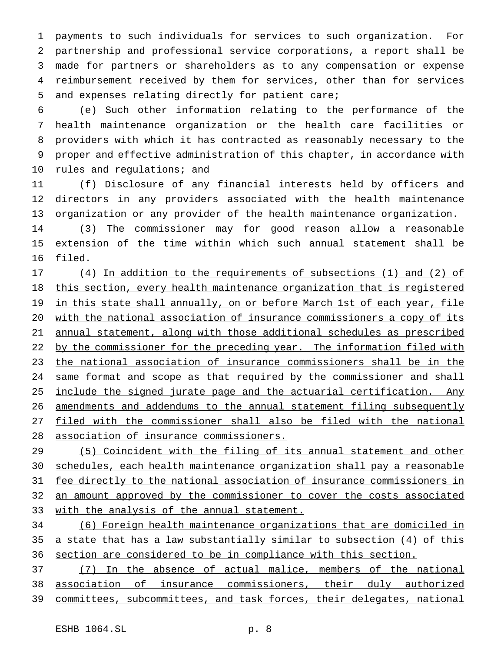payments to such individuals for services to such organization. For partnership and professional service corporations, a report shall be made for partners or shareholders as to any compensation or expense reimbursement received by them for services, other than for services and expenses relating directly for patient care;

 (e) Such other information relating to the performance of the health maintenance organization or the health care facilities or providers with which it has contracted as reasonably necessary to the proper and effective administration of this chapter, in accordance with 10 rules and regulations; and

 (f) Disclosure of any financial interests held by officers and directors in any providers associated with the health maintenance organization or any provider of the health maintenance organization.

 (3) The commissioner may for good reason allow a reasonable extension of the time within which such annual statement shall be filed.

 (4) In addition to the requirements of subsections (1) and (2) of this section, every health maintenance organization that is registered 19 in this state shall annually, on or before March 1st of each year, file with the national association of insurance commissioners a copy of its annual statement, along with those additional schedules as prescribed 22 by the commissioner for the preceding year. The information filed with the national association of insurance commissioners shall be in the same format and scope as that required by the commissioner and shall 25 include the signed jurate page and the actuarial certification. Any amendments and addendums to the annual statement filing subsequently filed with the commissioner shall also be filed with the national association of insurance commissioners.

 (5) Coincident with the filing of its annual statement and other schedules, each health maintenance organization shall pay a reasonable fee directly to the national association of insurance commissioners in an amount approved by the commissioner to cover the costs associated with the analysis of the annual statement.

 (6) Foreign health maintenance organizations that are domiciled in a state that has a law substantially similar to subsection (4) of this section are considered to be in compliance with this section.

 (7) In the absence of actual malice, members of the national association of insurance commissioners, their duly authorized committees, subcommittees, and task forces, their delegates, national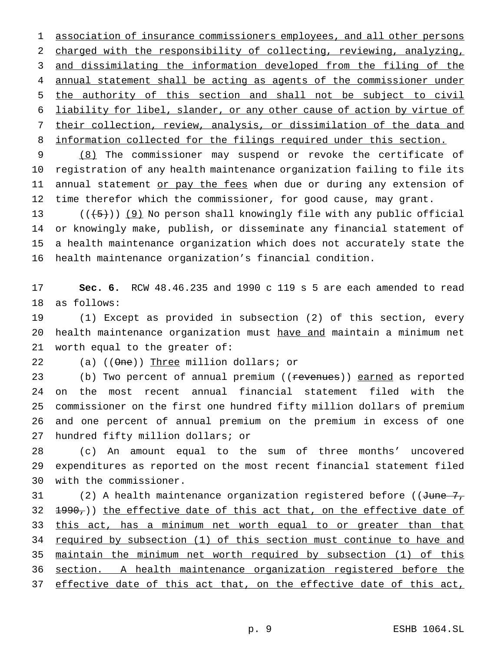association of insurance commissioners employees, and all other persons charged with the responsibility of collecting, reviewing, analyzing, and dissimilating the information developed from the filing of the annual statement shall be acting as agents of the commissioner under the authority of this section and shall not be subject to civil liability for libel, slander, or any other cause of action by virtue of their collection, review, analysis, or dissimilation of the data and 8 information collected for the filings required under this section.

 (8) The commissioner may suspend or revoke the certificate of registration of any health maintenance organization failing to file its 11 annual statement or pay the fees when due or during any extension of time therefor which the commissioner, for good cause, may grant.

 $((\frac{1}{5}))(9)$  No person shall knowingly file with any public official or knowingly make, publish, or disseminate any financial statement of a health maintenance organization which does not accurately state the health maintenance organization's financial condition.

 **Sec. 6.** RCW 48.46.235 and 1990 c 119 s 5 are each amended to read as follows:

 (1) Except as provided in subsection (2) of this section, every health maintenance organization must have and maintain a minimum net worth equal to the greater of:

22 (a)  $((\Theta<sub>ne</sub>))$  Three million dollars; or

23 (b) Two percent of annual premium ((revenues)) earned as reported on the most recent annual financial statement filed with the commissioner on the first one hundred fifty million dollars of premium and one percent of annual premium on the premium in excess of one hundred fifty million dollars; or

 (c) An amount equal to the sum of three months' uncovered expenditures as reported on the most recent financial statement filed with the commissioner.

31 (2) A health maintenance organization registered before ((June 7, 32 <del>1990,</del>)) the effective date of this act that, on the effective date of 33 this act, has a minimum net worth equal to or greater than that required by subsection (1) of this section must continue to have and maintain the minimum net worth required by subsection (1) of this section. A health maintenance organization registered before the 37 effective date of this act that, on the effective date of this act,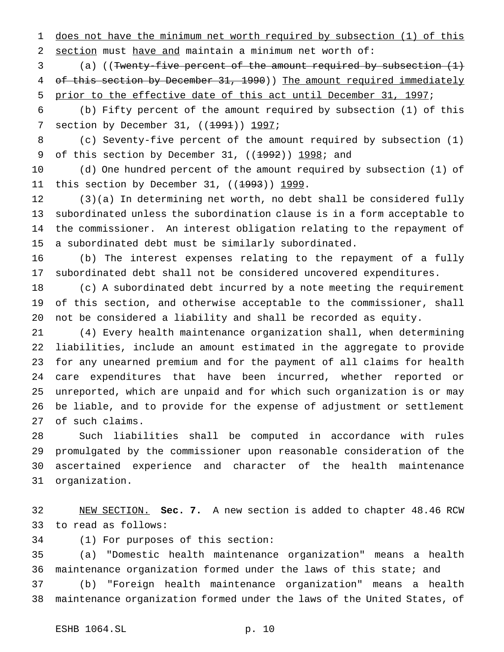does not have the minimum net worth required by subsection (1) of this section must have and maintain a minimum net worth of:

3 (a) ((Twenty-five percent of the amount required by subsection  $(1)$ 4 of this section by December 31, 1990)) The amount required immediately prior to the effective date of this act until December 31, 1997;

 (b) Fifty percent of the amount required by subsection (1) of this 7 section by December 31, ((1991)) 1997;

 (c) Seventy-five percent of the amount required by subsection (1) 9 of this section by December 31, ((1992)) 1998; and

 (d) One hundred percent of the amount required by subsection (1) of 11 this section by December 31, ((<del>1993</del>)) 1999.

 (3)(a) In determining net worth, no debt shall be considered fully subordinated unless the subordination clause is in a form acceptable to the commissioner. An interest obligation relating to the repayment of a subordinated debt must be similarly subordinated.

 (b) The interest expenses relating to the repayment of a fully subordinated debt shall not be considered uncovered expenditures.

 (c) A subordinated debt incurred by a note meeting the requirement of this section, and otherwise acceptable to the commissioner, shall not be considered a liability and shall be recorded as equity.

 (4) Every health maintenance organization shall, when determining liabilities, include an amount estimated in the aggregate to provide for any unearned premium and for the payment of all claims for health care expenditures that have been incurred, whether reported or unreported, which are unpaid and for which such organization is or may be liable, and to provide for the expense of adjustment or settlement of such claims.

 Such liabilities shall be computed in accordance with rules promulgated by the commissioner upon reasonable consideration of the ascertained experience and character of the health maintenance organization.

 NEW SECTION. **Sec. 7.** A new section is added to chapter 48.46 RCW to read as follows:

(1) For purposes of this section:

 (a) "Domestic health maintenance organization" means a health maintenance organization formed under the laws of this state; and

 (b) "Foreign health maintenance organization" means a health maintenance organization formed under the laws of the United States, of